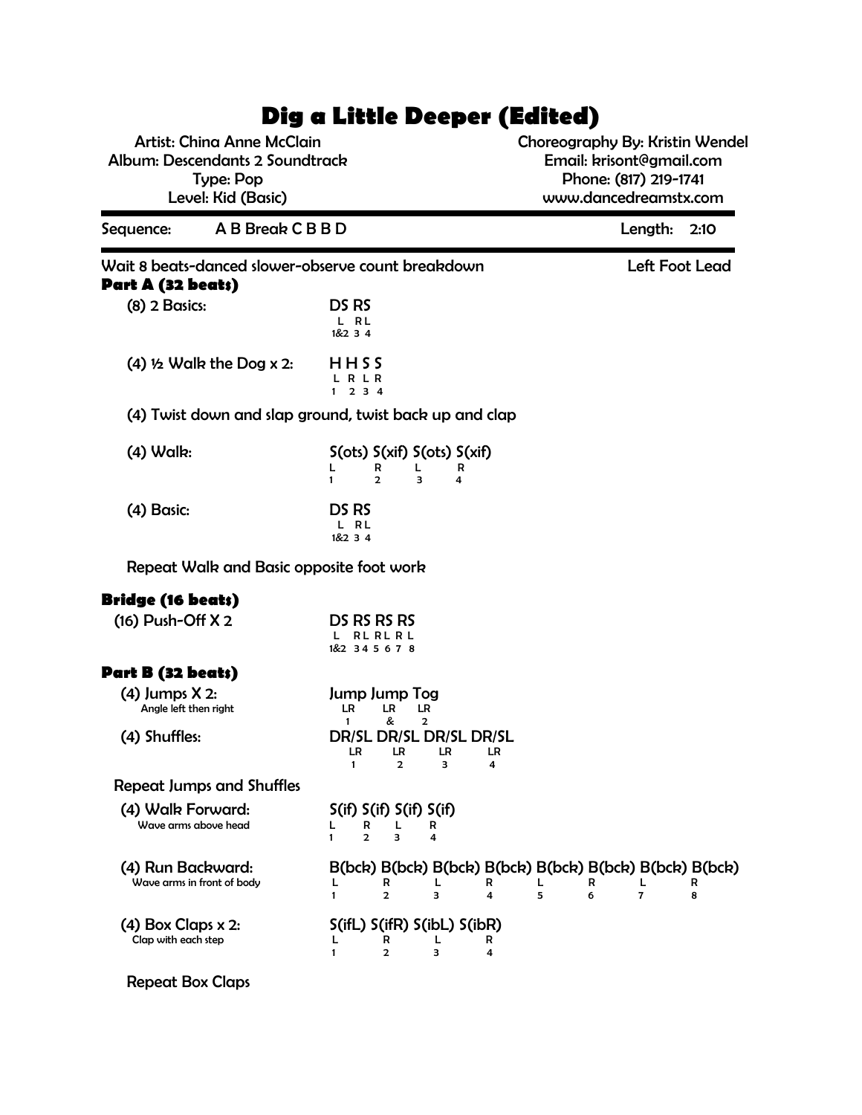# **Dig a Little Deeper (Edited)**

Artist: China Anne McClain Album: Descendants 2 Soundtrack Type: Pop Level: Kid (Basic)

Choreography By: Kristin Wendel Email: krisont@gmail.com Phone: (817) 219-1741 www.dancedreamstx.com

| Sequence:                                       | A B Break C B B D |                                                                                                                      | Length:<br>2:10                   |  |
|-------------------------------------------------|-------------------|----------------------------------------------------------------------------------------------------------------------|-----------------------------------|--|
| Part A (32 beats)                               |                   | Wait 8 beats-danced slower-observe count breakdown                                                                   | Left Foot Lead                    |  |
| $(8)$ 2 Basics:                                 |                   | DS RS<br>L RL<br>1&234                                                                                               |                                   |  |
| $(4)$ 1/2 Walk the Dog x 2:                     |                   | HHSS<br><b>RLR</b><br>234<br>1                                                                                       |                                   |  |
|                                                 |                   | (4) Twist down and slap ground, twist back up and clap                                                               |                                   |  |
| $(4)$ Walk:                                     |                   | S(ots) S(xif) S(ots) S(xif)<br>R<br>R<br>L<br>L<br>$\overline{2}$<br>3<br>$\mathbf{1}$<br>4                          |                                   |  |
| (4) Basic:                                      |                   | DS RS<br>L RL<br>1&234                                                                                               |                                   |  |
|                                                 |                   | Repeat Walk and Basic opposite foot work                                                                             |                                   |  |
| <b>Bridge (16 beats)</b>                        |                   |                                                                                                                      |                                   |  |
| $(16)$ Push-Off $X$ 2                           |                   | DS RS RS RS<br><b>RL RL RL</b><br>1&2 34 5 6 7 8                                                                     |                                   |  |
| Part B (32 beats)                               |                   |                                                                                                                      |                                   |  |
| $(4)$ Jumps $X$ 2:<br>Angle left then right     |                   | Jump Jump Tog<br>LR<br>LR.<br>LR<br>&<br>$\mathbf{1}$<br>2                                                           |                                   |  |
| (4) Shuffles:                                   |                   | DR/SL DR/SL DR/SL DR/SL<br>LR<br>LR<br>LR<br>LR<br>$\mathbf{1}$<br>$\overline{2}$<br>з<br>4                          |                                   |  |
| <b>Repeat Jumps and Shuffles</b>                |                   |                                                                                                                      |                                   |  |
| (4) Walk Forward:<br>Wave arms above head       |                   | S(if) S(if) S(if) S(if)<br>R<br>L<br>L<br>R<br>$\overline{2}$<br>3<br>$\overline{\mathbf{4}}$<br>1                   |                                   |  |
| (4) Run Backward:<br>Wave arms in front of body |                   | B(bck) B(bck) B(bck) B(bck) B(bck) B(bck) B(bck) B(bck)<br>L<br>R<br>R<br>R<br>5<br>$\mathbf{2}$<br>3<br>6<br>4<br>1 | R<br>$\overline{\mathbf{z}}$<br>8 |  |
| $(4)$ Box Claps x 2:<br>Clap with each step     |                   | S(ifL) S(ifR) S(ibL) S(ibR)<br>R<br>R<br>L<br>L<br>2<br>3<br>1<br>4                                                  |                                   |  |

Repeat Box Claps